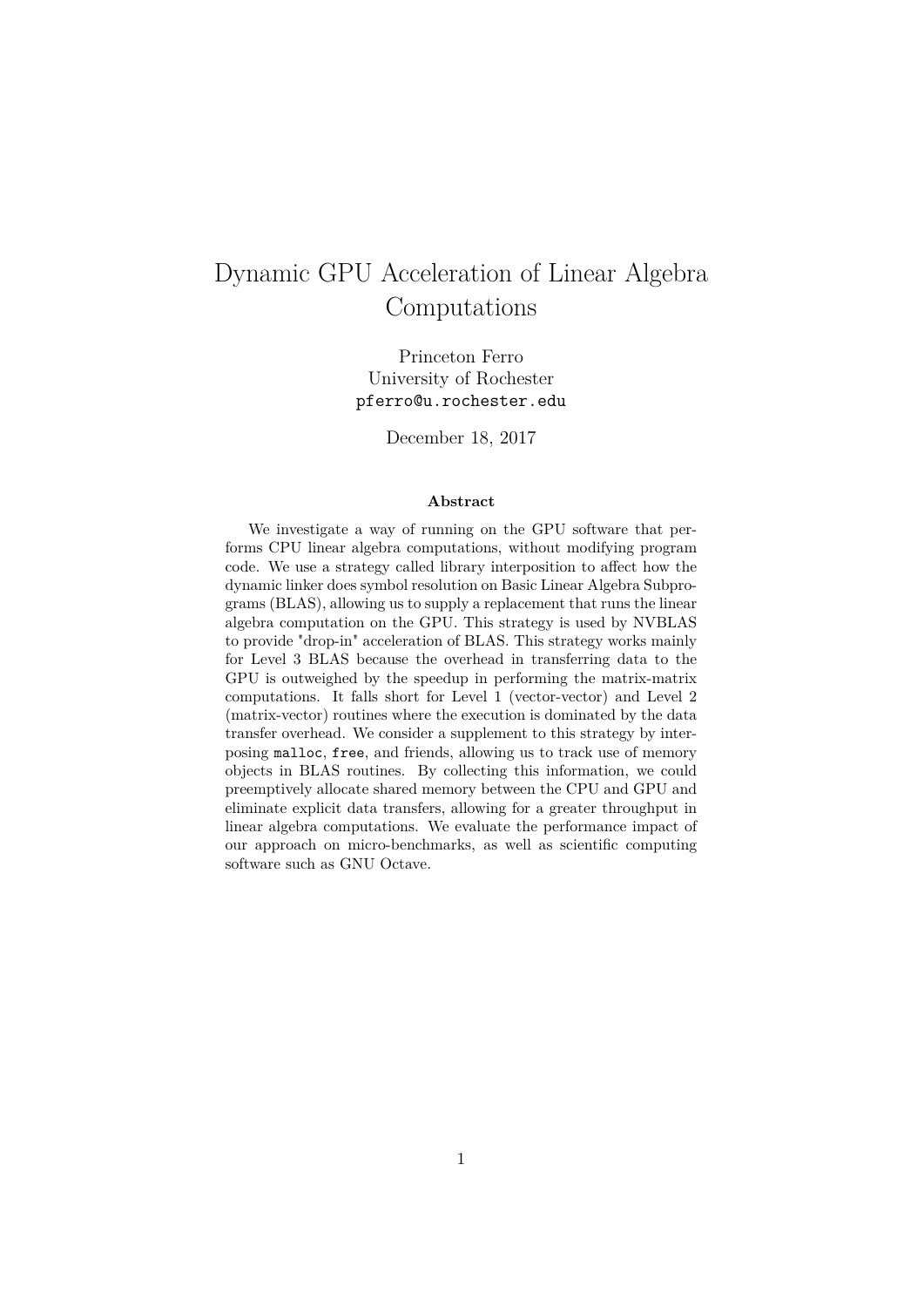# Dynamic GPU Acceleration of Linear Algebra Computations

Princeton Ferro University of Rochester pferro@u.rochester.edu

December 18, 2017

#### **Abstract**

We investigate a way of running on the GPU software that performs CPU linear algebra computations, without modifying program code. We use a strategy called library interposition to affect how the dynamic linker does symbol resolution on Basic Linear Algebra Subprograms (BLAS), allowing us to supply a replacement that runs the linear algebra computation on the GPU. This strategy is used by NVBLAS to provide "drop-in" acceleration of BLAS. This strategy works mainly for Level 3 BLAS because the overhead in transferring data to the GPU is outweighed by the speedup in performing the matrix-matrix computations. It falls short for Level 1 (vector-vector) and Level 2 (matrix-vector) routines where the execution is dominated by the data transfer overhead. We consider a supplement to this strategy by interposing malloc, free, and friends, allowing us to track use of memory objects in BLAS routines. By collecting this information, we could preemptively allocate shared memory between the CPU and GPU and eliminate explicit data transfers, allowing for a greater throughput in linear algebra computations. We evaluate the performance impact of our approach on micro-benchmarks, as well as scientific computing software such as GNU Octave.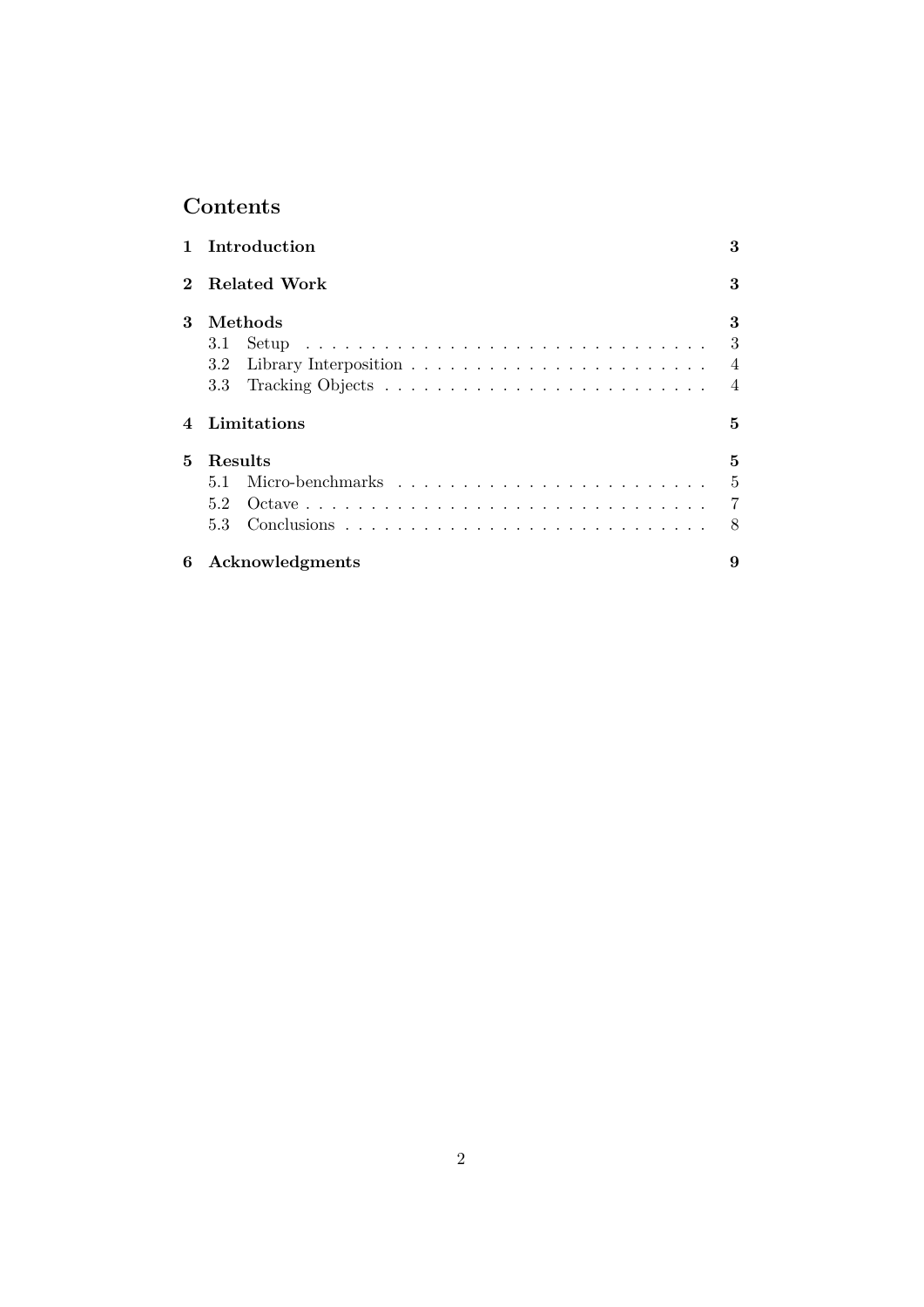## **Contents**

|              | 1 Introduction  | 3              |
|--------------|-----------------|----------------|
| $\mathbf{2}$ | Related Work    | 3              |
| 3            | Methods         | 3              |
|              | 3.1             | 3              |
|              |                 | $\overline{4}$ |
|              | 3.3             | $\overline{4}$ |
|              | Limitations     | 5              |
| 5.           | Results         | 5              |
|              | 5.1             | 5              |
|              | 5.2             | - 7            |
|              | 5.3             | - 8            |
| 6            | Acknowledgments | 9              |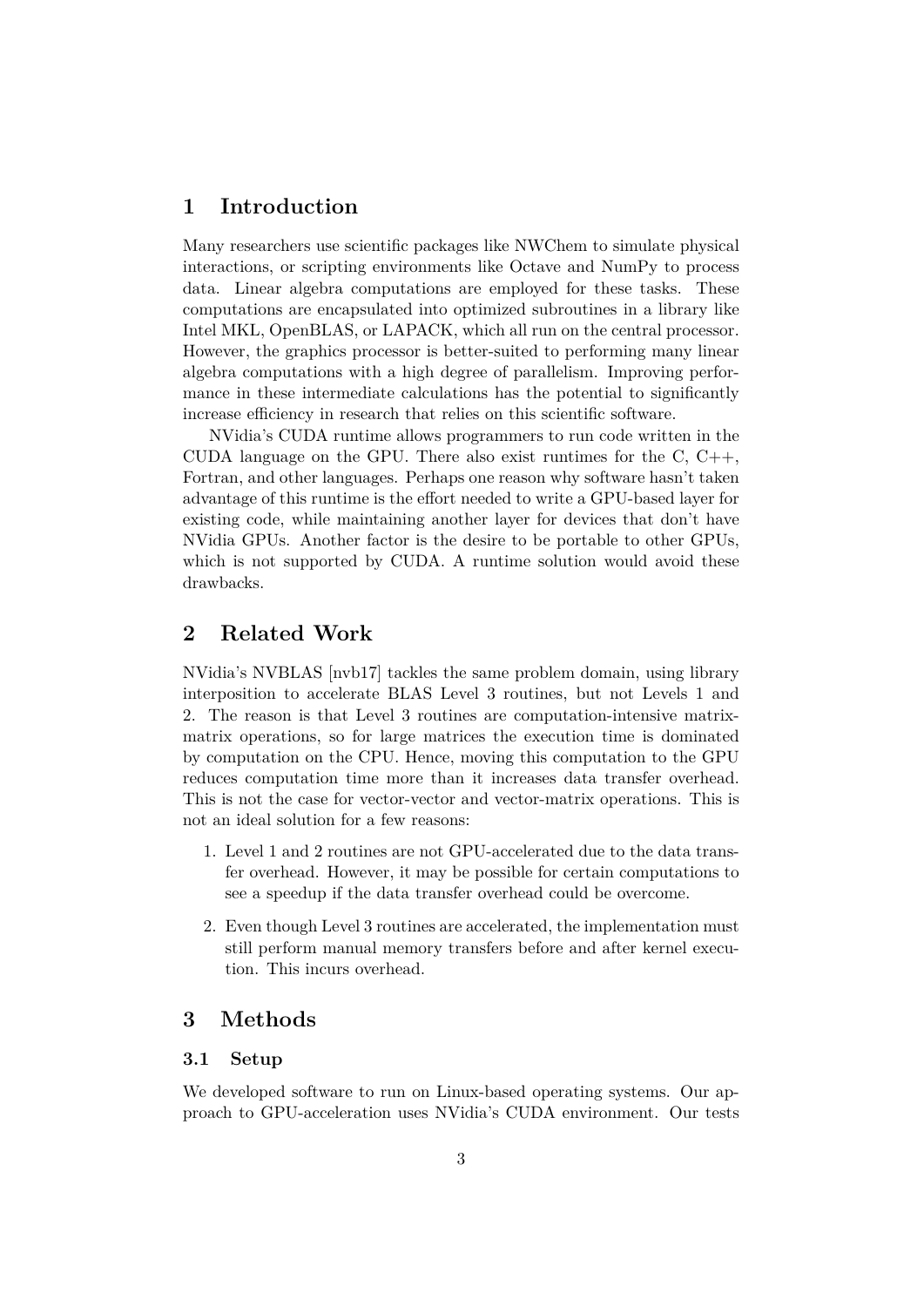## **1 Introduction**

<span id="page-2-0"></span>Many researchers use scientific packages like NWChem to simulate physical interactions, or scripting environments like Octave and NumPy to process data. Linear algebra computations are employed for these tasks. These computations are encapsulated into optimized subroutines in a library like Intel MKL, OpenBLAS, or LAPACK, which all run on the central processor. However, the graphics processor is better-suited to performing many linear algebra computations with a high degree of parallelism. Improving performance in these intermediate calculations has the potential to significantly increase efficiency in research that relies on this scientific software.

NVidia's CUDA runtime allows programmers to run code written in the CUDA language on the GPU. There also exist runtimes for the  $C, C++,$ Fortran, and other languages. Perhaps one reason why software hasn't taken advantage of this runtime is the effort needed to write a GPU-based layer for existing code, while maintaining another layer for devices that don't have NVidia GPUs. Another factor is the desire to be portable to other GPUs, which is not supported by CUDA. A runtime solution would avoid these drawbacks.

## **2 Related Work**

<span id="page-2-1"></span>NVidia's NVBLAS [nvb17] tackles the same problem domain, using library interposition to accelerate BLAS Level 3 routines, but not Levels 1 and 2. The reason is that Level 3 routines are computation-intensive matrixmatrix operations, so for large matrices the execution time is dominated by computation on [the CP](#page-8-0)U. Hence, moving this computation to the GPU reduces computation time more than it increases data transfer overhead. This is not the case for vector-vector and vector-matrix operations. This is not an ideal solution for a few reasons:

- 1. Level 1 and 2 routines are not GPU-accelerated due to the data transfer overhead. However, it may be possible for certain computations to see a speedup if the data transfer overhead could be overcome.
- 2. Even though Level 3 routines are accelerated, the implementation must still perform manual memory transfers before and after kernel execution. This incurs overhead.

## **3 Methods**

#### **3.1 Setup**

<span id="page-2-3"></span><span id="page-2-2"></span>We developed software to run on Linux-based operating systems. Our approach to GPU-acceleration uses NVidia's CUDA environment. Our tests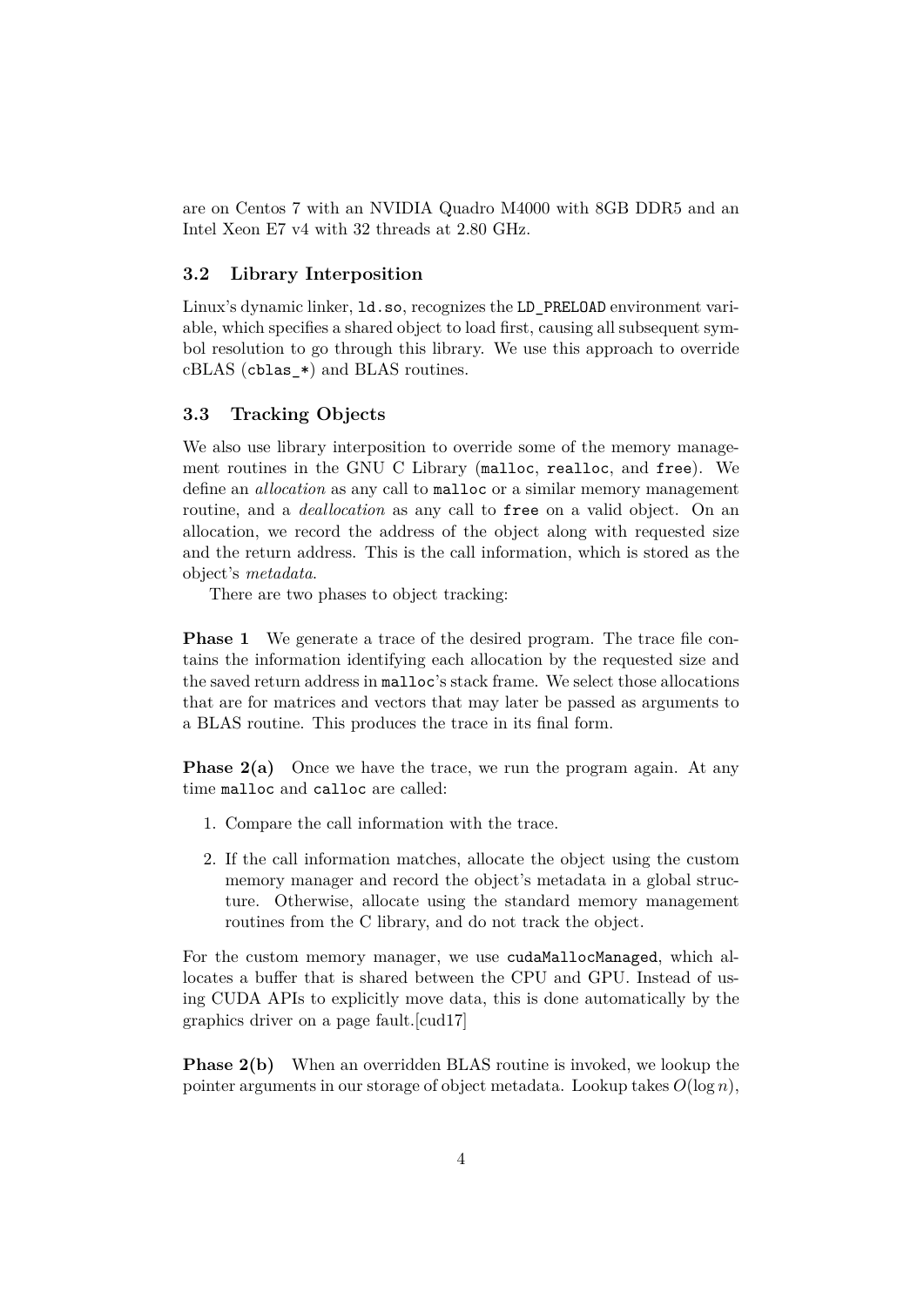are on Centos 7 with an NVIDIA Quadro M4000 with 8GB DDR5 and an Intel Xeon E7 v4 with 32 threads at 2.80 GHz.

#### **3.2 Library Interposition**

Linux's dynamic linker, ld.so, recognizes the LD\_PRELOAD environment variable, which specifies a shared object to load first, causing all subsequent symbol resolution to go through this library. We use this approach to override cBLAS (cblas\_\*) and BLAS routines.

#### **3.3 Tracking Objects**

<span id="page-3-0"></span>We also use library interposition to override some of the memory management routines in the GNU C Library (malloc, realloc, and free). We define an *allocation* as any call to malloc or a similar memory management routine, and a *deallocation* as any call to free on a valid object. On an allocation, we record the address of the object along with requested size and the return address. This is the call information, which is stored as the object's *metadata*.

There are two phases to object tracking:

**Phase 1** We generate a trace of the desired program. The trace file contains the information identifying each allocation by the requested size and the saved return address in malloc's stack frame. We select those allocations that are for matrices and vectors that may later be passed as arguments to a BLAS routine. This produces the trace in its final form.

**Phase 2(a)** Once we have the trace, we run the program again. At any time malloc and calloc are called:

- 1. Compare the call information with the trace.
- 2. If the call information matches, allocate the object using the custom memory manager and record the object's metadata in a global structure. Otherwise, allocate using the standard memory management routines from the C library, and do not track the object.

For the custom memory manager, we use cudaMallocManaged, which allocates a buffer that is shared between the CPU and GPU. Instead of using CUDA APIs to explicitly move data, this is done automatically by the graphics driver on a page fault.[cud17]

**Phase 2(b)** When an overridden BLAS routine is invoked, we lookup the pointer arguments in our storag[e of obj](#page-8-1)ect metadata. Lookup takes  $O(\log n)$ ,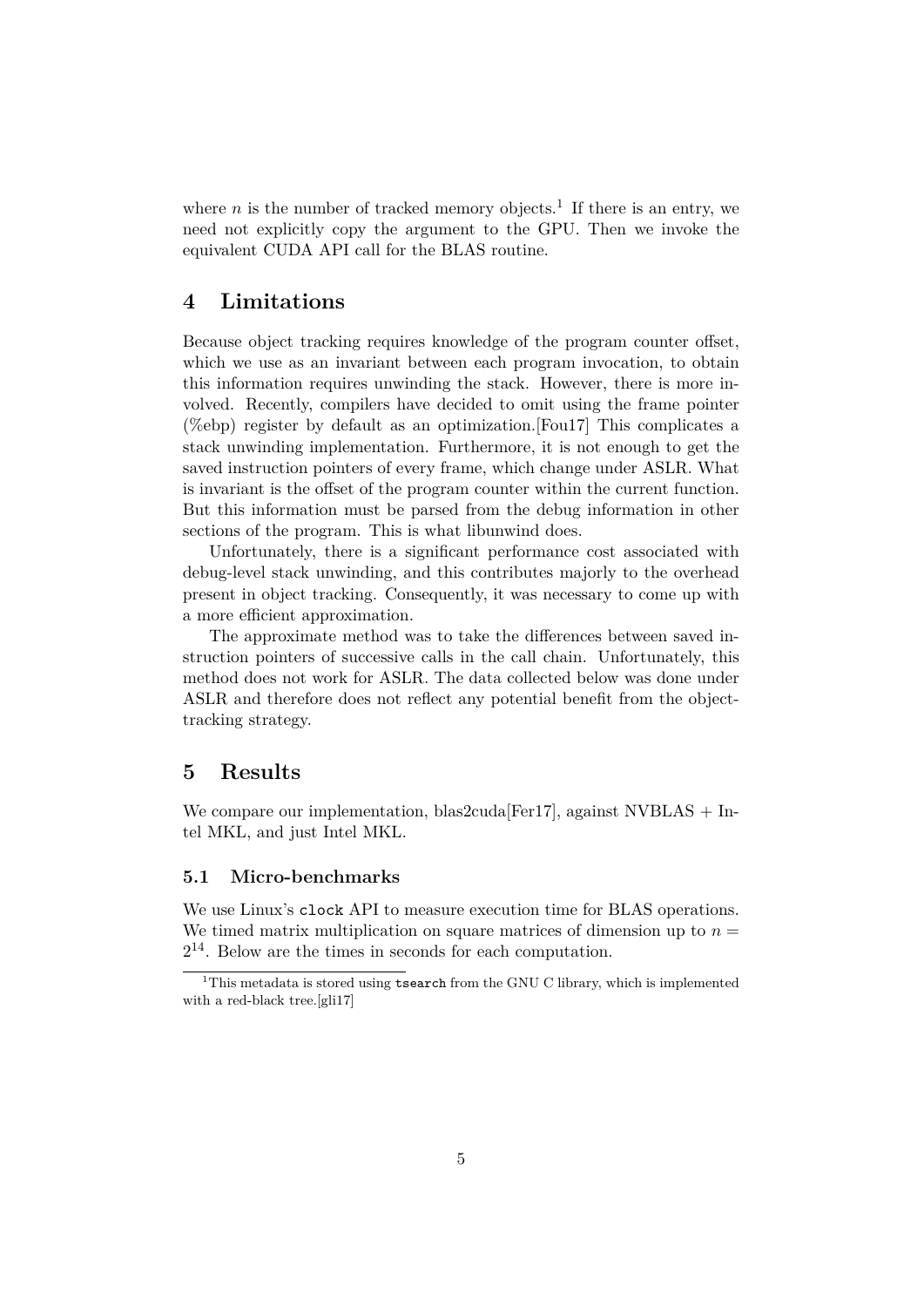where  $n$  is the number of tracked memory objects.<sup>1</sup> If there is an entry, we need not explicitly copy the argument to the GPU. Then we invoke the equivalent CUDA API call for the BLAS routine.

## **4 Limitations**

<span id="page-4-0"></span>Because object tracking requires knowledge of the program counter offset, which we use as an invariant between each program invocation, to obtain this information requires unwinding the stack. However, there is more involved. Recently, compilers have decided to omit using the frame pointer (%ebp) register by default as an optimization.[Fou17] This complicates a stack unwinding implementation. Furthermore, it is not enough to get the saved instruction pointers of every frame, which change under ASLR. What is invariant is the offset of the program counter within the current function. But this information must be parsed from the [debug](#page-8-2) information in other sections of the program. This is what libunwind does.

Unfortunately, there is a significant performance cost associated with debug-level stack unwinding, and this contributes majorly to the overhead present in object tracking. Consequently, it was necessary to come up with a more efficient approximation.

The approximate method was to take the differences between saved instruction pointers of successive calls in the call chain. Unfortunately, this method does not work for ASLR. The data collected below was done under ASLR and therefore does not reflect any potential benefit from the objecttracking strategy.

## **5 Results**

<span id="page-4-1"></span>We compare our implementation, blas2cuda<sup>[Fer17]</sup>, against NVBLAS + Intel MKL, and just Intel MKL.

#### **5.1 Micro-benchmarks**

We use Linux's clock API to measure execution time for BLAS operations. We timed matrix multiplication on square matrices of dimension up to  $n =$ 2 <sup>14</sup>. Below are the times in seconds for each computation.

<span id="page-4-2"></span><sup>&</sup>lt;sup>1</sup>This metadata is stored using **tsearch** from the GNU C library, which is implemented with a red-black tree.[gli17]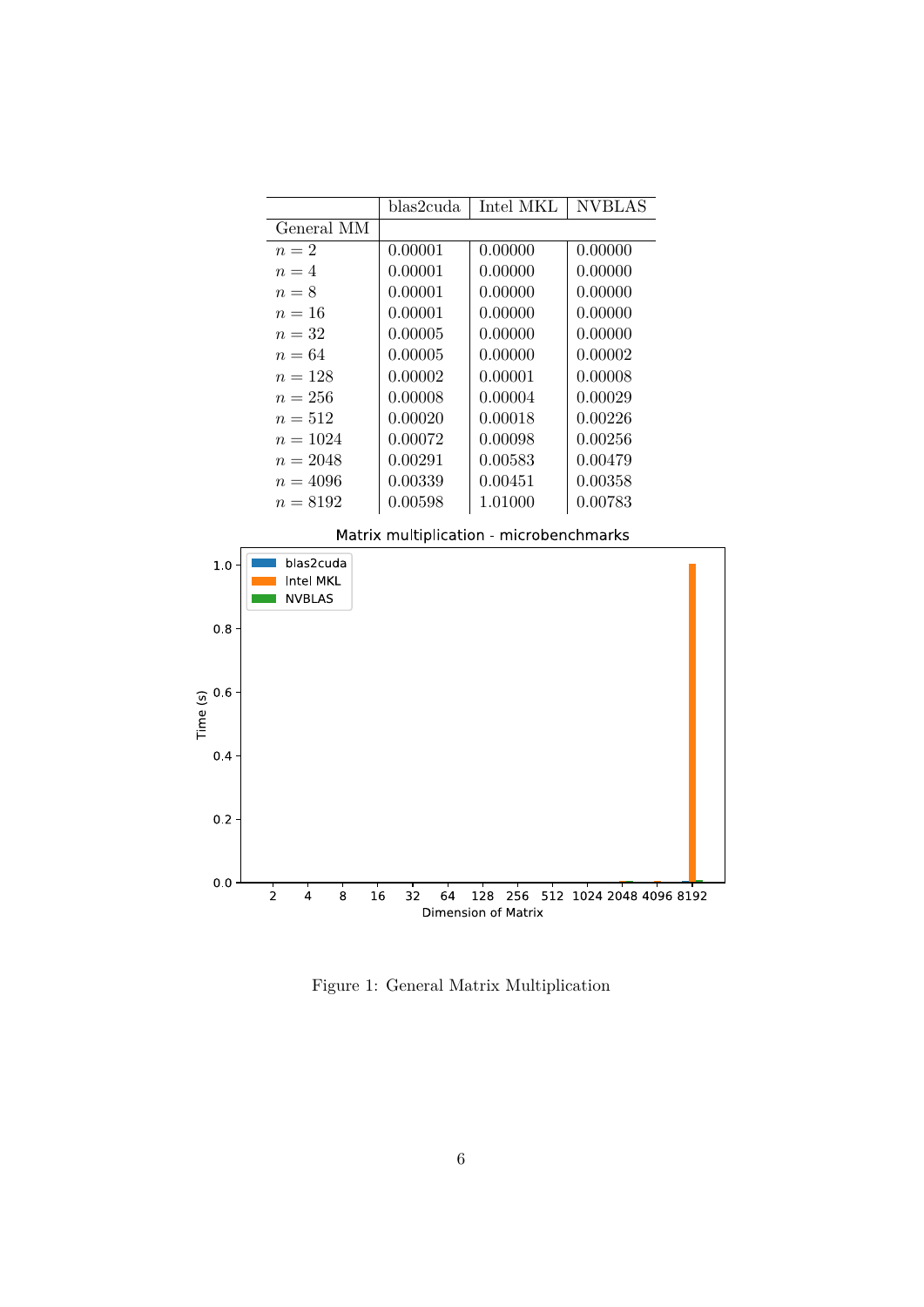|                                         | blas2cuda. | Intel MKL | <b>NVBLAS</b> |  |  |  |
|-----------------------------------------|------------|-----------|---------------|--|--|--|
| General MM                              |            |           |               |  |  |  |
| $n=2$                                   | 0.00001    | 0.00000   | 0.00000       |  |  |  |
| $n=4$                                   | 0.00001    | 0.00000   | 0.00000       |  |  |  |
| $n=8$                                   | 0.00001    | 0.00000   | 0.00000       |  |  |  |
| $n=16$                                  | 0.00001    | 0.00000   | 0.00000       |  |  |  |
| $n=32$                                  | 0.00005    | 0.00000   | 0.00000       |  |  |  |
| $n=64$                                  | 0.00005    | 0.00000   | 0.00002       |  |  |  |
| $n = 128$                               | 0.00002    | 0.00001   | 0.00008       |  |  |  |
| $n = 256$                               | 0.00008    | 0.00004   | 0.00029       |  |  |  |
| $n = 512$                               | 0.00020    | 0.00018   | 0.00226       |  |  |  |
| $n = 1024$                              | 0.00072    | 0.00098   | 0.00256       |  |  |  |
| $n = 2048$                              | 0.00291    | 0.00583   | 0.00479       |  |  |  |
| $n = 4096$                              | 0.00339    | 0.00451   | 0.00358       |  |  |  |
| $n = 8192$                              | 0.00598    | 1.01000   | 0.00783       |  |  |  |
| Matrix multiplication - microbenchmarks |            |           |               |  |  |  |



Figure 1: General Matrix Multiplication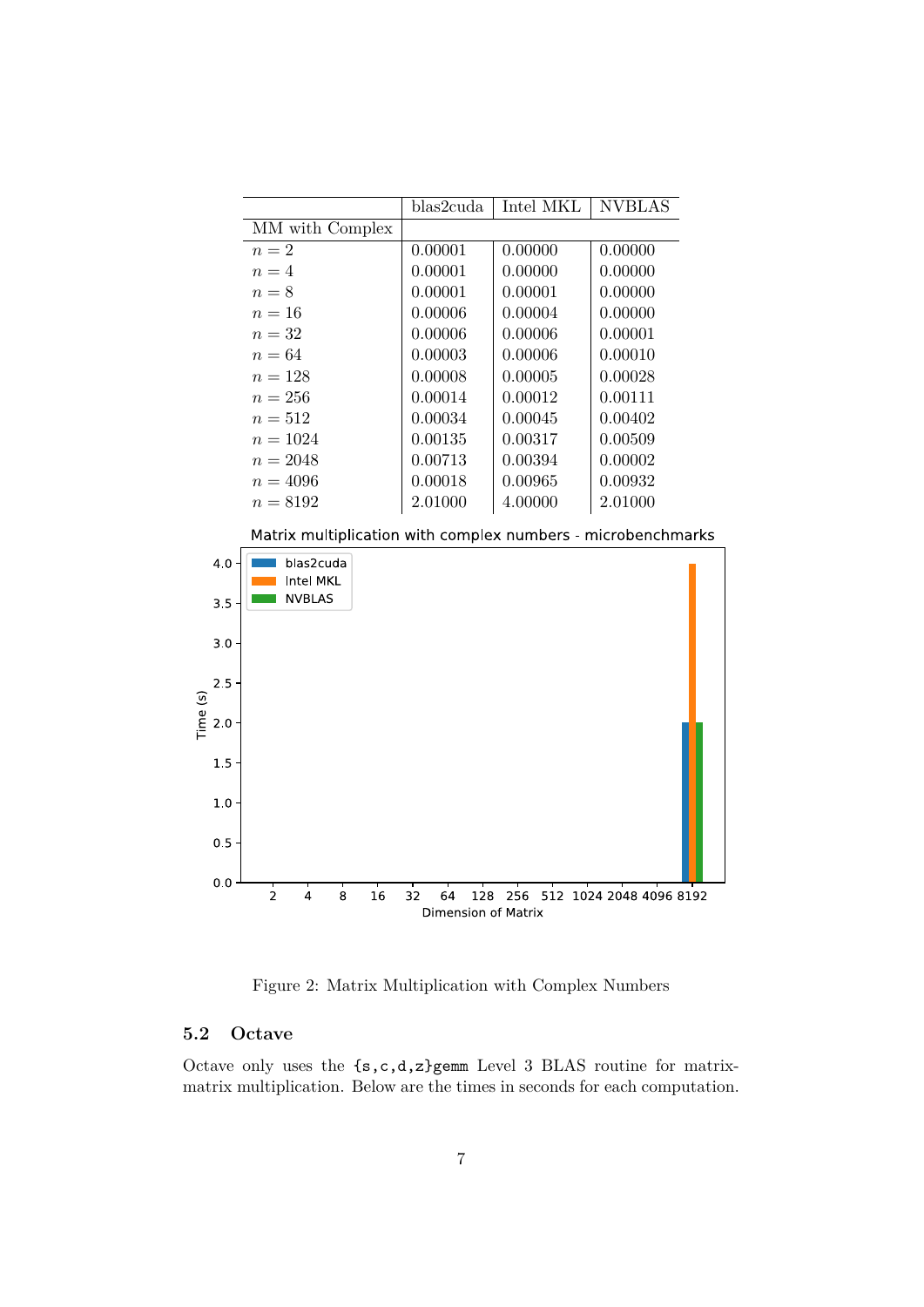|                 | blas2cuda | Intel MKL | <b>NVBLAS</b> |
|-----------------|-----------|-----------|---------------|
| MM with Complex |           |           |               |
| $n=2$           | 0.00001   | 0.00000   | 0.00000       |
| $n=4$           | 0.00001   | 0.00000   | 0.00000       |
| $n=8$           | 0.00001   | 0.00001   | 0.00000       |
| $n=16$          | 0.00006   | 0.00004   | 0.00000       |
| $n=32$          | 0.00006   | 0.00006   | 0.00001       |
| $n=64$          | 0.00003   | 0.00006   | 0.00010       |
| $n = 128$       | 0.00008   | 0.00005   | 0.00028       |
| $n = 256$       | 0.00014   | 0.00012   | 0.00111       |
| $n = 512$       | 0.00034   | 0.00045   | 0.00402       |
| $n = 1024$      | 0.00135   | 0.00317   | 0.00509       |
| $n = 2048$      | 0.00713   | 0.00394   | 0.00002       |
| $n = 4096$      | 0.00018   | 0.00965   | 0.00932       |
| $n = 8192$      | 2.01000   | 4.00000   | 2.01000       |

Matrix multiplication with complex numbers - microbenchmarks



Figure 2: Matrix Multiplication with Complex Numbers

### **5.2 Octave**

Octave only uses the  $\{s,c,d,z\}$ gemm Level 3 BLAS routine for matrixmatrix multiplication. Below are the times in seconds for each computation.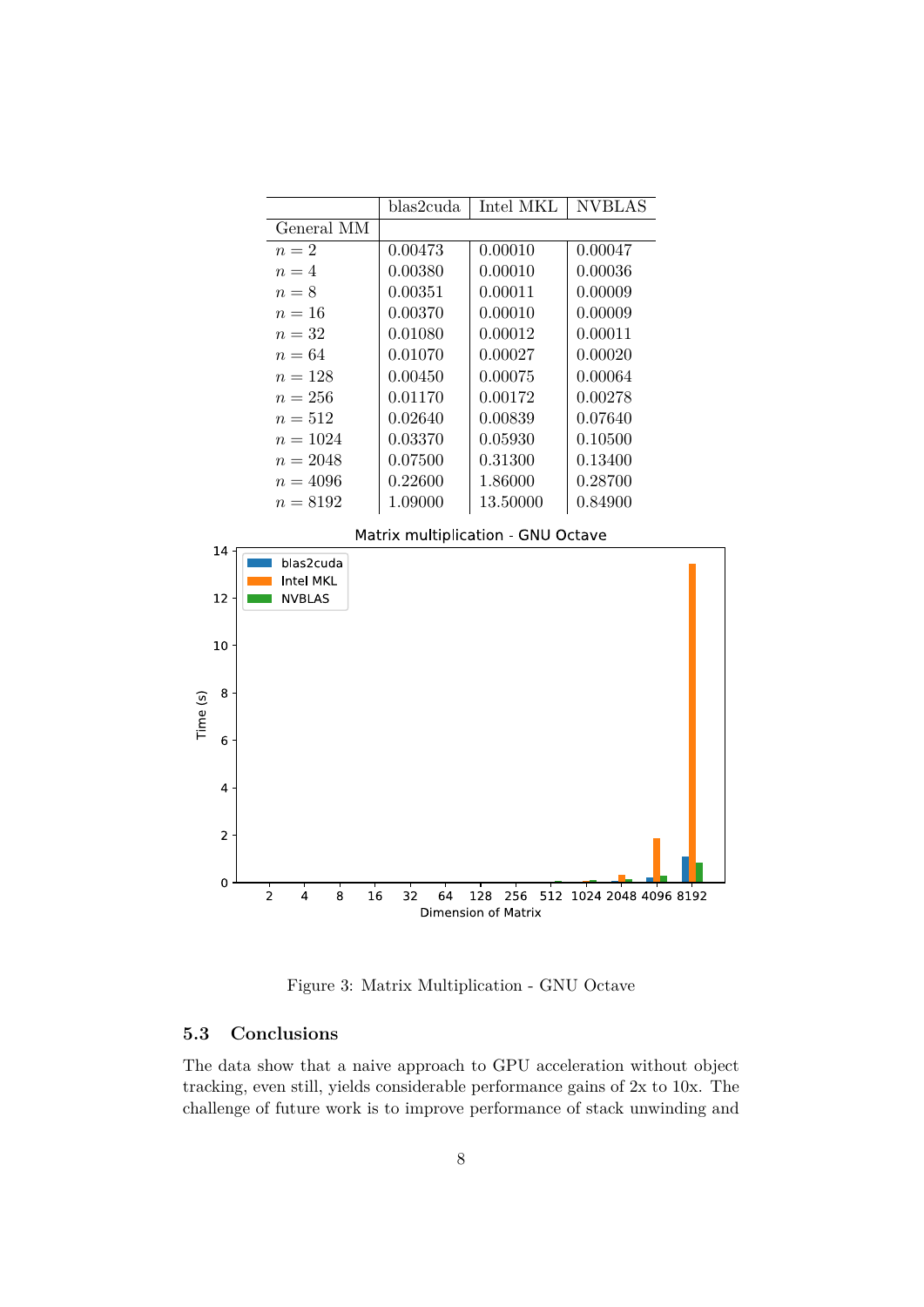

Figure 3: Matrix Multiplication - GNU Octave

#### **5.3 Conclusions**

The data show that a naive approach to GPU acceleration without object tracking, even still, yields considerable performance gains of 2x to 10x. The challenge of future work is to improve performance of stack unwinding and